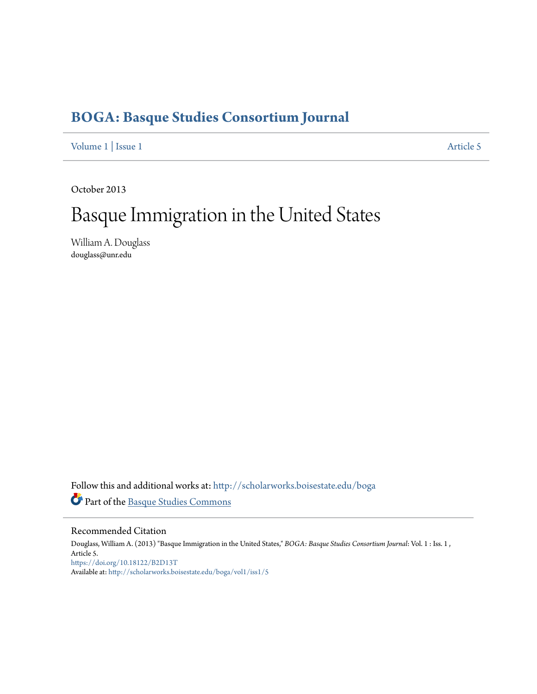## **[BOGA: Basque Studies Consortium Journal](http://scholarworks.boisestate.edu/boga?utm_source=scholarworks.boisestate.edu%2Fboga%2Fvol1%2Fiss1%2F5&utm_medium=PDF&utm_campaign=PDFCoverPages)**

[Volume 1](http://scholarworks.boisestate.edu/boga/vol1?utm_source=scholarworks.boisestate.edu%2Fboga%2Fvol1%2Fiss1%2F5&utm_medium=PDF&utm_campaign=PDFCoverPages) | [Issue 1](http://scholarworks.boisestate.edu/boga/vol1/iss1?utm_source=scholarworks.boisestate.edu%2Fboga%2Fvol1%2Fiss1%2F5&utm_medium=PDF&utm_campaign=PDFCoverPages) [Article 5](http://scholarworks.boisestate.edu/boga/vol1/iss1/5?utm_source=scholarworks.boisestate.edu%2Fboga%2Fvol1%2Fiss1%2F5&utm_medium=PDF&utm_campaign=PDFCoverPages)

October 2013

## Basque Immigration in the United States

William A. Douglass douglass@unr.edu

Follow this and additional works at: [http://scholarworks.boisestate.edu/boga](http://scholarworks.boisestate.edu/boga?utm_source=scholarworks.boisestate.edu%2Fboga%2Fvol1%2Fiss1%2F5&utm_medium=PDF&utm_campaign=PDFCoverPages) Part of the [Basque Studies Commons](http://network.bepress.com/hgg/discipline/1244?utm_source=scholarworks.boisestate.edu%2Fboga%2Fvol1%2Fiss1%2F5&utm_medium=PDF&utm_campaign=PDFCoverPages)

## Recommended Citation

Douglass, William A. (2013) "Basque Immigration in the United States," *BOGA: Basque Studies Consortium Journal*: Vol. 1 : Iss. 1 , Article 5. <https://doi.org/10.18122/B2D13T> Available at: [http://scholarworks.boisestate.edu/boga/vol1/iss1/5](http://scholarworks.boisestate.edu/boga/vol1/iss1/5?utm_source=scholarworks.boisestate.edu%2Fboga%2Fvol1%2Fiss1%2F5&utm_medium=PDF&utm_campaign=PDFCoverPages)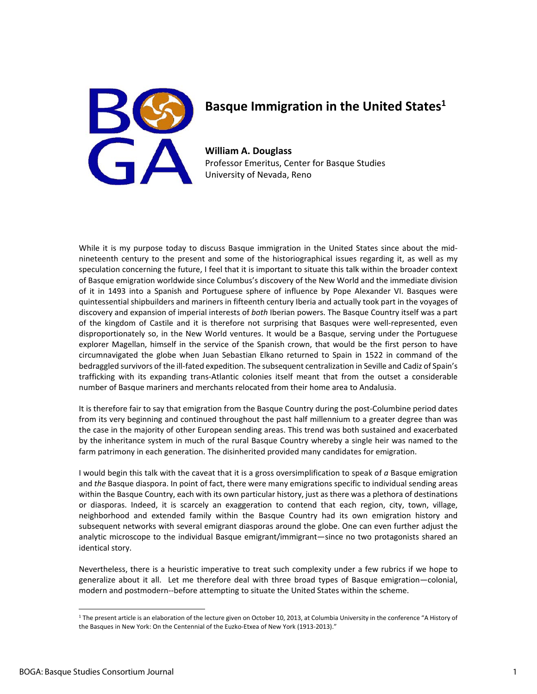

## **Basque Immigration in the United States1**

**William A. Douglass** Professor Emeritus, Center for Basque Studies University of Nevada, Reno

While it is my purpose today to discuss Basque immigration in the United States since about the midnineteenth century to the present and some of the historiographical issues regarding it, as well as my speculation concerning the future, I feel that it is important to situate this talk within the broader context of Basque emigration worldwide since Columbus's discovery of the New World and the immediate division of it in 1493 into a Spanish and Portuguese sphere of influence by Pope Alexander VI. Basques were quintessential shipbuilders and mariners in fifteenth century Iberia and actually took part in the voyages of discovery and expansion of imperial interests of *both* Iberian powers. The Basque Country itself was a part of the kingdom of Castile and it is therefore not surprising that Basques were well-represented, even disproportionately so, in the New World ventures. It would be a Basque, serving under the Portuguese explorer Magellan, himself in the service of the Spanish crown, that would be the first person to have circumnavigated the globe when Juan Sebastian Elkano returned to Spain in 1522 in command of the bedraggled survivors of the ill‐fated expedition. The subsequent centralization in Seville and Cadiz of Spain's trafficking with its expanding trans‐Atlantic colonies itself meant that from the outset a considerable number of Basque mariners and merchants relocated from their home area to Andalusia.

It is therefore fair to say that emigration from the Basque Country during the post-Columbine period dates from its very beginning and continued throughout the past half millennium to a greater degree than was the case in the majority of other European sending areas. This trend was both sustained and exacerbated by the inheritance system in much of the rural Basque Country whereby a single heir was named to the farm patrimony in each generation. The disinherited provided many candidates for emigration.

I would begin this talk with the caveat that it is a gross oversimplification to speak of *a* Basque emigration and *the* Basque diaspora. In point of fact, there were many emigrations specific to individual sending areas within the Basque Country, each with its own particular history, just as there was a plethora of destinations or diasporas. Indeed, it is scarcely an exaggeration to contend that each region, city, town, village, neighborhood and extended family within the Basque Country had its own emigration history and subsequent networks with several emigrant diasporas around the globe. One can even further adjust the analytic microscope to the individual Basque emigrant/immigrant—since no two protagonists shared an identical story.

Nevertheless, there is a heuristic imperative to treat such complexity under a few rubrics if we hope to generalize about it all. Let me therefore deal with three broad types of Basque emigration—colonial, modern and postmodern‐‐before attempting to situate the United States within the scheme.

 $1$  The present article is an elaboration of the lecture given on October 10, 2013, at Columbia University in the conference "A History of the Basques in New York: On the Centennial of the Euzko-Etxea of New York (1913-2013)."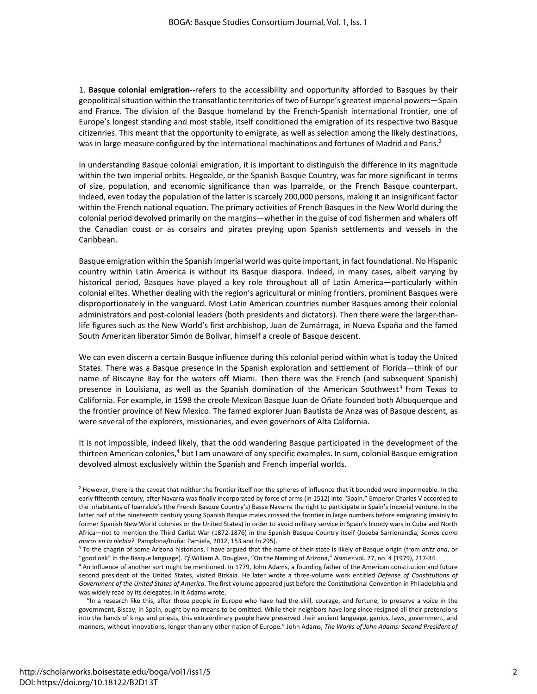1. **Basque colonial emigration**‐‐refers to the accessibility and opportunity afforded to Basques by their geopolitical situation within the transatlantic territories of two of Europe's greatest imperial powers—Spain and France. The division of the Basque homeland by the French-Spanish international frontier, one of Europe's longest standing and most stable, itself conditioned the emigration of its respective two Basque citizenries. This meant that the opportunity to emigrate, as well as selection among the likely destinations, was in large measure configured by the international machinations and fortunes of Madrid and Paris.<sup>2</sup>

In understanding Basque colonial emigration, it is important to distinguish the difference in its magnitude within the two imperial orbits. Hegoalde, or the Spanish Basque Country, was far more significant in terms of size, population, and economic significance than was Iparralde, or the French Basque counterpart. Indeed, even today the population of the latter is scarcely 200,000 persons, making it an insignificant factor within the French national equation. The primary activities of French Basques in the New World during the colonial period devolved primarily on the margins—whether in the guise of cod fishermen and whalers off the Canadian coast or as corsairs and pirates preying upon Spanish settlements and vessels in the Caribbean.

Basque emigration within the Spanish imperial world was quite important, in fact foundational. No Hispanic country within Latin America is without its Basque diaspora. Indeed, in many cases, albeit varying by historical period, Basques have played a key role throughout all of Latin America—particularly within colonial elites. Whether dealing with the region's agricultural or mining frontiers, prominent Basques were disproportionately in the vanguard. Most Latin American countries number Basques among their colonial administrators and post-colonial leaders (both presidents and dictators). Then there were the larger-thanlife figures such as the New World's first archbishop, Juan de Zumárraga, in Nueva España and the famed South American liberator Simón de Bolivar, himself a creole of Basque descent.

We can even discern a certain Basque influence during this colonial period within what is today the United States. There was a Basque presence in the Spanish exploration and settlement of Florida—think of our name of Biscayne Bay for the waters off Miami. Then there was the French (and subsequent Spanish) presence in Louisiana, as well as the Spanish domination of the American Southwest<sup>3</sup> from Texas to California. For example, in 1598 the creole Mexican Basque Juan de Oñate founded both Albuquerque and the frontier province of New Mexico. The famed explorer Juan Bautista de Anza was of Basque descent, as were several of the explorers, missionaries, and even governors of Alta California.

It is not impossible, indeed likely, that the odd wandering Basque participated in the development of the thirteen American colonies,<sup>4</sup> but I am unaware of any specific examples. In sum, colonial Basque emigration devolved almost exclusively within the Spanish and French imperial worlds.

<sup>&</sup>lt;sup>2</sup> However, there is the caveat that neither the frontier itself nor the spheres of influence that it bounded were impermeable. In the early fifteenth century, after Navarra was finally incorporated by force of arms (in 1512) into "Spain," Emperor Charles V accorded to the inhabitants of Iparralde's (the French Basque Country's) Basse Navarre the right to participate in Spain's imperial venture. In the latter half of the nineteenth century young Spanish Basque males crossed the frontier in large numbers before emigrating (mainly to former Spanish New World colonies or the United States) in order to avoid military service in Spain's bloody wars in Cuba and North Africa—not to mention the Third Carlist War (1872‐1876) in the Spanish Basque Country itself (Joseba Sarrionandia, *Somos como moros en la niebla?* Pamplona/Iruña: Pamiela, 2012, 153 and fn 295).

<sup>3</sup> To the chagrin of some Arizona historians, I have argued that the name of their state is likely of Basque origin (from *aritz ona*, or "good oak" in the Basque language). *Cf* William A. Douglass, "On the Naming of Arizona," *Names* vol. 27, no. 4 (1979), 217‐34.

<sup>4</sup> An influence of another sort might be mentioned. In 1779, John Adams, a founding father of the American constitution and future second president of the United States, visited Bizkaia. He later wrote a three‐volume work entitled *Defense of Constitutions of Government of the United States of America*. The first volume appeared just before the Constitutional Convention in Philadelphia and was widely read by its delegates. In it Adams wrote,

"In a research like this, after those people in Europe who have had the skill, courage, and fortune, to preserve a voice in the government, Biscay, in Spain, ought by no means to be omitted. While their neighbors have long since resigned all their pretensions into the hands of kings and priests, this extraordinary people have preserved their ancient language, genius, laws, government, and manners, without innovations, longer than any other nation of Europe." John Adams, *The Works of John Adams: Second President of*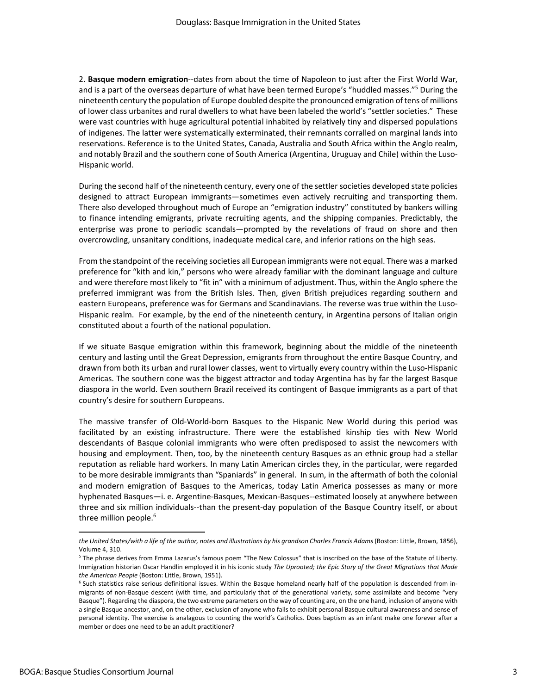2. **Basque modern emigration**‐‐dates from about the time of Napoleon to just after the First World War, and is a part of the overseas departure of what have been termed Europe's "huddled masses."5 During the nineteenth century the population of Europe doubled despite the pronounced emigration of tens of millions of lower class urbanites and rural dwellers to what have been labeled the world's "settler societies." These were vast countries with huge agricultural potential inhabited by relatively tiny and dispersed populations of indigenes. The latter were systematically exterminated, their remnants corralled on marginal lands into reservations. Reference is to the United States, Canada, Australia and South Africa within the Anglo realm, and notably Brazil and the southern cone of South America (Argentina, Uruguay and Chile) within the Luso‐ Hispanic world.

During the second half of the nineteenth century, every one of the settler societies developed state policies designed to attract European immigrants—sometimes even actively recruiting and transporting them. There also developed throughout much of Europe an "emigration industry" constituted by bankers willing to finance intending emigrants, private recruiting agents, and the shipping companies. Predictably, the enterprise was prone to periodic scandals—prompted by the revelations of fraud on shore and then overcrowding, unsanitary conditions, inadequate medical care, and inferior rations on the high seas.

From the standpoint of the receiving societies all European immigrants were not equal. There was a marked preference for "kith and kin," persons who were already familiar with the dominant language and culture and were therefore most likely to "fit in" with a minimum of adjustment. Thus, within the Anglo sphere the preferred immigrant was from the British Isles. Then, given British prejudices regarding southern and eastern Europeans, preference was for Germans and Scandinavians. The reverse was true within the Luso‐ Hispanic realm. For example, by the end of the nineteenth century, in Argentina persons of Italian origin constituted about a fourth of the national population.

If we situate Basque emigration within this framework, beginning about the middle of the nineteenth century and lasting until the Great Depression, emigrants from throughout the entire Basque Country, and drawn from both its urban and rural lower classes, went to virtually every country within the Luso‐Hispanic Americas. The southern cone was the biggest attractor and today Argentina has by far the largest Basque diaspora in the world. Even southern Brazil received its contingent of Basque immigrants as a part of that country's desire for southern Europeans.

The massive transfer of Old‐World‐born Basques to the Hispanic New World during this period was facilitated by an existing infrastructure. There were the established kinship ties with New World descendants of Basque colonial immigrants who were often predisposed to assist the newcomers with housing and employment. Then, too, by the nineteenth century Basques as an ethnic group had a stellar reputation as reliable hard workers. In many Latin American circles they, in the particular, were regarded to be more desirable immigrants than "Spaniards" in general. In sum, in the aftermath of both the colonial and modern emigration of Basques to the Americas, today Latin America possesses as many or more hyphenated Basques—i. e. Argentine‐Basques, Mexican‐Basques‐‐estimated loosely at anywhere between three and six million individuals‐‐than the present‐day population of the Basque Country itself, or about three million people.<sup>6</sup>

the United States/with a life of the author, notes and illustrations by his grandson Charles Francis Adams (Boston: Little, Brown, 1856), Volume 4, 310.

<sup>5</sup> The phrase derives from Emma Lazarus's famous poem "The New Colossus" that is inscribed on the base of the Statute of Liberty. Immigration historian Oscar Handlin employed it in his iconic study *The Uprooted; the Epic Story of the Great Migrations that Made the American People* (Boston: Little, Brown, 1951).

<sup>&</sup>lt;sup>6</sup> Such statistics raise serious definitional issues. Within the Basque homeland nearly half of the population is descended from inmigrants of non‐Basque descent (with time, and particularly that of the generational variety, some assimilate and become "very Basque"). Regarding the diaspora, the two extreme parameters on the way of counting are, on the one hand, inclusion of anyone with a single Basque ancestor, and, on the other, exclusion of anyone who fails to exhibit personal Basque cultural awareness and sense of personal identity. The exercise is analagous to counting the world's Catholics. Does baptism as an infant make one forever after a member or does one need to be an adult practitioner?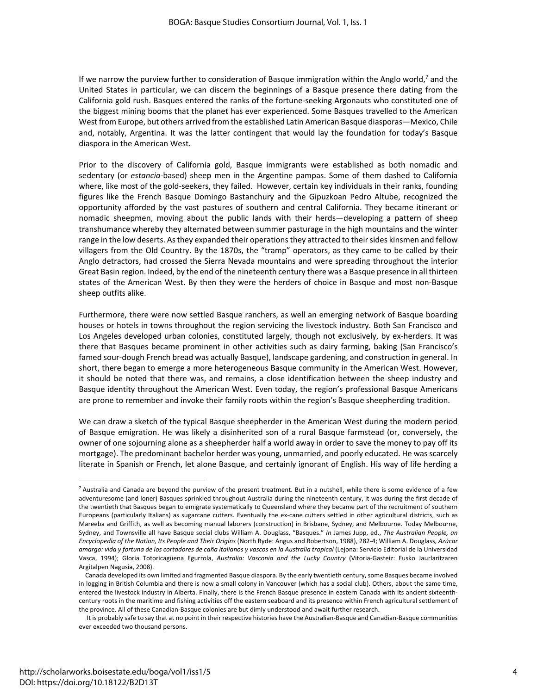If we narrow the purview further to consideration of Basque immigration within the Anglo world,<sup>7</sup> and the United States in particular, we can discern the beginnings of a Basque presence there dating from the California gold rush. Basques entered the ranks of the fortune‐seeking Argonauts who constituted one of the biggest mining booms that the planet has ever experienced. Some Basques travelled to the American West from Europe, but others arrived from the established Latin American Basque diasporas—Mexico, Chile and, notably, Argentina. It was the latter contingent that would lay the foundation for today's Basque diaspora in the American West.

Prior to the discovery of California gold, Basque immigrants were established as both nomadic and sedentary (or *estancia*‐based) sheep men in the Argentine pampas. Some of them dashed to California where, like most of the gold-seekers, they failed. However, certain key individuals in their ranks, founding figures like the French Basque Domingo Bastanchury and the Gipuzkoan Pedro Altube, recognized the opportunity afforded by the vast pastures of southern and central California. They became itinerant or nomadic sheepmen, moving about the public lands with their herds—developing a pattern of sheep transhumance whereby they alternated between summer pasturage in the high mountains and the winter range in the low deserts. As they expanded their operations they attracted to their sides kinsmen and fellow villagers from the Old Country. By the 1870s, the "tramp" operators, as they came to be called by their Anglo detractors, had crossed the Sierra Nevada mountains and were spreading throughout the interior Great Basin region. Indeed, by the end of the nineteenth century there was a Basque presence in all thirteen states of the American West. By then they were the herders of choice in Basque and most non‐Basque sheep outfits alike.

Furthermore, there were now settled Basque ranchers, as well an emerging network of Basque boarding houses or hotels in towns throughout the region servicing the livestock industry. Both San Francisco and Los Angeles developed urban colonies, constituted largely, though not exclusively, by ex‐herders. It was there that Basques became prominent in other activities such as dairy farming, baking (San Francisco's famed sour‐dough French bread was actually Basque), landscape gardening, and construction in general. In short, there began to emerge a more heterogeneous Basque community in the American West. However, it should be noted that there was, and remains, a close identification between the sheep industry and Basque identity throughout the American West. Even today, the region's professional Basque Americans are prone to remember and invoke their family roots within the region's Basque sheepherding tradition.

We can draw a sketch of the typical Basque sheepherder in the American West during the modern period of Basque emigration. He was likely a disinherited son of a rural Basque farmstead (or, conversely, the owner of one sojourning alone as a sheepherder half a world away in order to save the money to pay off its mortgage). The predominant bachelor herder was young, unmarried, and poorly educated. He was scarcely literate in Spanish or French, let alone Basque, and certainly ignorant of English. His way of life herding a

 $<sup>7</sup>$  Australia and Canada are beyond the purview of the present treatment. But in a nutshell, while there is some evidence of a few</sup> adventuresome (and loner) Basques sprinkled throughout Australia during the nineteenth century, it was during the first decade of the twentieth that Basques began to emigrate systematically to Queensland where they became part of the recruitment of southern Europeans (particularly Italians) as sugarcane cutters. Eventually the ex‐cane cutters settled in other agricultural districts, such as Mareeba and Griffith, as well as becoming manual laborers (construction) in Brisbane, Sydney, and Melbourne. Today Melbourne, Sydney, and Townsville all have Basque social clubs William A. Douglass, "Basques." *In* James Jupp, ed., *The Australian People, an Encyclopedia of the Nation, Its People and Their Origins* (North Ryde: Angus and Robertson, 1988), 282‐4; William A. Douglass, *Azúcar* amargo: vida y fortuna de los cortadores de caña italianos y vascos en la Australia tropical (Lejona: Servicio Editorial de la Universidad Vasca, 1994); Gloria Totoricagüena Egurrola, *Australia: Vasconia and the Lucky Country* (Vitoria‐Gasteiz: Eusko Jaurlaritzaren Argitalpen Nagusia, 2008).

Canada developed its own limited and fragmented Basque diaspora. By the early twentieth century, some Basques became involved in logging in British Columbia and there is now a small colony in Vancouver (which has a social club). Others, about the same time, entered the livestock industry in Alberta. Finally, there is the French Basque presence in eastern Canada with its ancient sixteenthcentury roots in the maritime and fishing activities off the eastern seaboard and its presence within French agricultural settlement of the province. All of these Canadian‐Basque colonies are but dimly understood and await further research.

It is probably safe to say that at no point in their respective histories have the Australian‐Basque and Canadian‐Basque communities ever exceeded two thousand persons.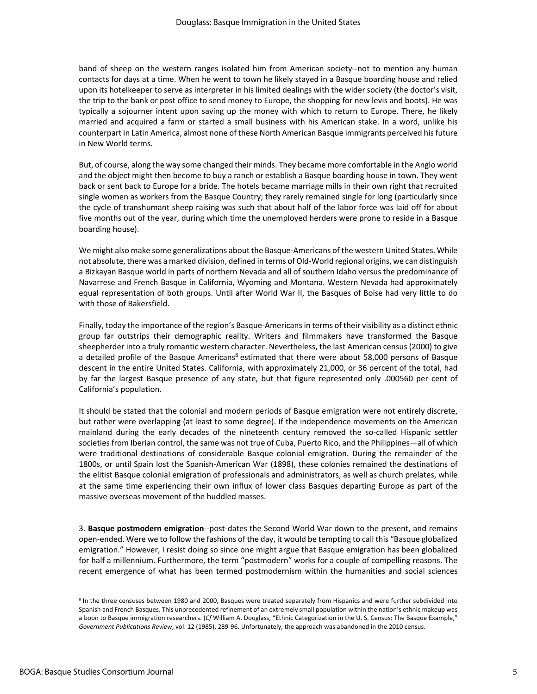band of sheep on the western ranges isolated him from American society‐‐not to mention any human contacts for days at a time. When he went to town he likely stayed in a Basque boarding house and relied upon its hotelkeeper to serve as interpreter in his limited dealings with the wider society (the doctor's visit, the trip to the bank or post office to send money to Europe, the shopping for new levis and boots). He was typically a sojourner intent upon saving up the money with which to return to Europe. There, he likely married and acquired a farm or started a small business with his American stake. In a word, unlike his counterpart in Latin America, almost none of these North American Basque immigrants perceived his future in New World terms.

But, of course, along the way some changed their minds. They became more comfortable in the Anglo world and the object might then become to buy a ranch or establish a Basque boarding house in town. They went back or sent back to Europe for a bride. The hotels became marriage mills in their own right that recruited single women as workers from the Basque Country; they rarely remained single for long (particularly since the cycle of transhumant sheep raising was such that about half of the labor force was laid off for about five months out of the year, during which time the unemployed herders were prone to reside in a Basque boarding house).

We might also make some generalizations about the Basque‐Americans of the western United States. While not absolute, there was a marked division, defined in terms of Old‐World regional origins, we can distinguish a Bizkayan Basque world in parts of northern Nevada and all of southern Idaho versus the predominance of Navarrese and French Basque in California, Wyoming and Montana. Western Nevada had approximately equal representation of both groups. Until after World War II, the Basques of Boise had very little to do with those of Bakersfield.

Finally, today the importance of the region's Basque-Americans in terms of their visibility as a distinct ethnic group far outstrips their demographic reality. Writers and filmmakers have transformed the Basque sheepherder into a truly romantic western character. Nevertheless, the last American census (2000) to give a detailed profile of the Basque Americans<sup>8</sup> estimated that there were about 58,000 persons of Basque descent in the entire United States. California, with approximately 21,000, or 36 percent of the total, had by far the largest Basque presence of any state, but that figure represented only .000560 per cent of California's population.

It should be stated that the colonial and modern periods of Basque emigration were not entirely discrete, but rather were overlapping (at least to some degree). If the independence movements on the American mainland during the early decades of the nineteenth century removed the so-called Hispanic settler societies from Iberian control, the same was not true of Cuba, Puerto Rico, and the Philippines—all of which were traditional destinations of considerable Basque colonial emigration. During the remainder of the 1800s, or until Spain lost the Spanish‐American War (1898), these colonies remained the destinations of the elitist Basque colonial emigration of professionals and administrators, as well as church prelates, while at the same time experiencing their own influx of lower class Basques departing Europe as part of the massive overseas movement of the huddled masses.

3. **Basque postmodern emigration**‐‐post‐dates the Second World War down to the present, and remains open-ended. Were we to follow the fashions of the day, it would be tempting to call this "Basque globalized emigration." However, I resist doing so since one might argue that Basque emigration has been globalized for half a millennium. Furthermore, the term "postmodern" works for a couple of compelling reasons. The recent emergence of what has been termed postmodernism within the humanities and social sciences

<sup>&</sup>lt;sup>8</sup> In the three censuses between 1980 and 2000, Basques were treated separately from Hispanics and were further subdivided into Spanish and French Basques. This unprecedented refinement of an extremely small population within the nation's ethnic makeup was a boon to Basque immigration researchers. (*Cf* William A. Douglass, "Ethnic Categorization in the U. S. Census: The Basque Example," *Government Publications Review*, vol. 12 (1985), 289‐96. Unfortunately, the approach was abandoned in the 2010 census.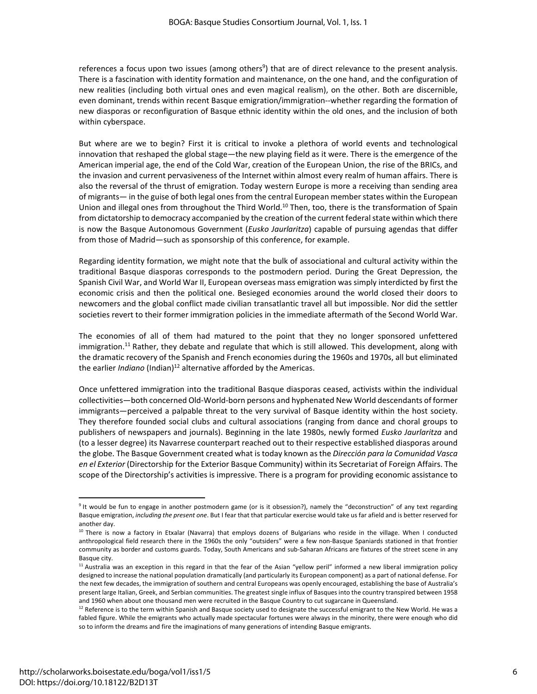references a focus upon two issues (among others<sup>9</sup>) that are of direct relevance to the present analysis. There is a fascination with identity formation and maintenance, on the one hand, and the configuration of new realities (including both virtual ones and even magical realism), on the other. Both are discernible, even dominant, trends within recent Basque emigration/immigration‐‐whether regarding the formation of new diasporas or reconfiguration of Basque ethnic identity within the old ones, and the inclusion of both within cyberspace.

But where are we to begin? First it is critical to invoke a plethora of world events and technological innovation that reshaped the global stage—the new playing field as it were. There is the emergence of the American imperial age, the end of the Cold War, creation of the European Union, the rise of the BRICs, and the invasion and current pervasiveness of the Internet within almost every realm of human affairs. There is also the reversal of the thrust of emigration. Today western Europe is more a receiving than sending area of migrants— in the guise of both legal ones from the central European member states within the European Union and illegal ones from throughout the Third World.<sup>10</sup> Then, too, there is the transformation of Spain from dictatorship to democracy accompanied by the creation of the current federal state within which there is now the Basque Autonomous Government (*Eusko Jaurlaritza*) capable of pursuing agendas that differ from those of Madrid—such as sponsorship of this conference, for example.

Regarding identity formation, we might note that the bulk of associational and cultural activity within the traditional Basque diasporas corresponds to the postmodern period. During the Great Depression, the Spanish Civil War, and World War II, European overseas mass emigration was simply interdicted by first the economic crisis and then the political one. Besieged economies around the world closed their doors to newcomers and the global conflict made civilian transatlantic travel all but impossible. Nor did the settler societies revert to their former immigration policies in the immediate aftermath of the Second World War.

The economies of all of them had matured to the point that they no longer sponsored unfettered immigration.<sup>11</sup> Rather, they debate and regulate that which is still allowed. This development, along with the dramatic recovery of the Spanish and French economies during the 1960s and 1970s, all but eliminated the earlier *Indiano* (Indian)<sup>12</sup> alternative afforded by the Americas.

Once unfettered immigration into the traditional Basque diasporas ceased, activists within the individual collectivities—both concerned Old‐World‐born persons and hyphenated New World descendants of former immigrants—perceived a palpable threat to the very survival of Basque identity within the host society. They therefore founded social clubs and cultural associations (ranging from dance and choral groups to publishers of newspapers and journals). Beginning in the late 1980s, newly formed *Eusko Jaurlaritza* and (to a lesser degree) its Navarrese counterpart reached out to their respective established diasporas around the globe. The Basque Government created what is today known as the *Dirección para la Comunidad Vasca en el Exterior* (Directorship for the Exterior Basque Community) within its Secretariat of Foreign Affairs. The scope of the Directorship's activities is impressive. There is a program for providing economic assistance to

<sup>&</sup>lt;sup>9</sup> It would be fun to engage in another postmodern game (or is it obsession?), namely the "deconstruction" of any text regarding Basque emigration, *including the present one*. But I fear that that particular exercise would take us far afield and is better reserved for another day.

<sup>&</sup>lt;sup>10</sup> There is now a factory in Etxalar (Navarra) that employs dozens of Bulgarians who reside in the village. When I conducted anthropological field research there in the 1960s the only "outsiders" were a few non-Basque Spaniards stationed in that frontier community as border and customs guards. Today, South Americans and sub‐Saharan Africans are fixtures of the street scene in any Basque city.

 $11$  Australia was an exception in this regard in that the fear of the Asian "yellow peril" informed a new liberal immigration policy designed to increase the national population dramatically (and particularly its European component) as a part of national defense. For the next few decades, the immigration of southern and central Europeans was openly encouraged, establishing the base of Australia's present large Italian, Greek, and Serbian communities. The greatest single influx of Basques into the country transpired between 1958 and 1960 when about one thousand men were recruited in the Basque Country to cut sugarcane in Queensland.

 $12$  Reference is to the term within Spanish and Basque society used to designate the successful emigrant to the New World. He was a fabled figure. While the emigrants who actually made spectacular fortunes were always in the minority, there were enough who did so to inform the dreams and fire the imaginations of many generations of intending Basque emigrants.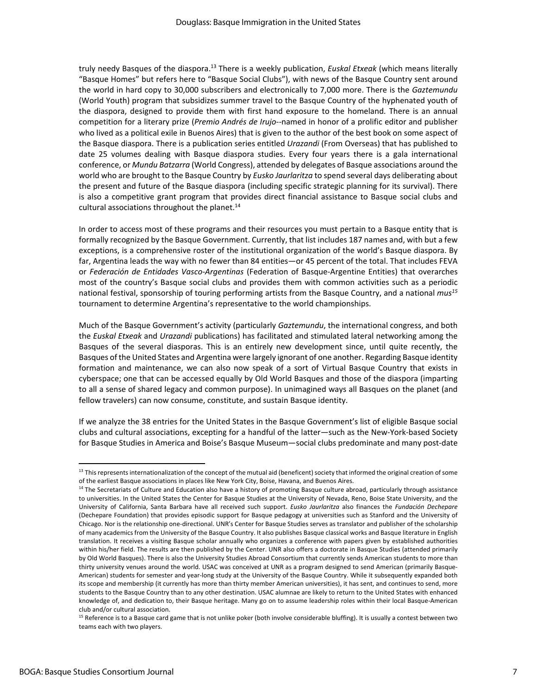truly needy Basques of the diaspora.13 There is a weekly publication, *Euskal Etxeak* (which means literally "Basque Homes" but refers here to "Basque Social Clubs"), with news of the Basque Country sent around the world in hard copy to 30,000 subscribers and electronically to 7,000 more. There is the *Gaztemundu* (World Youth) program that subsidizes summer travel to the Basque Country of the hyphenated youth of the diaspora, designed to provide them with first hand exposure to the homeland. There is an annual competition for a literary prize (*Premio Andrés de Irujo*‐‐named in honor of a prolific editor and publisher who lived as a political exile in Buenos Aires) that is given to the author of the best book on some aspect of the Basque diaspora. There is a publication series entitled *Urazandi* (From Overseas) that has published to date 25 volumes dealing with Basque diaspora studies. Every four years there is a gala international conference, or *Mundu Batzarra* (World Congress), attended by delegates of Basque associations around the world who are brought to the Basque Country by *Eusko Jaurlaritza* to spend several days deliberating about the present and future of the Basque diaspora (including specific strategic planning for its survival). There is also a competitive grant program that provides direct financial assistance to Basque social clubs and cultural associations throughout the planet. $14$ 

In order to access most of these programs and their resources you must pertain to a Basque entity that is formally recognized by the Basque Government. Currently, that list includes 187 names and, with but a few exceptions, is a comprehensive roster of the institutional organization of the world's Basque diaspora. By far, Argentina leads the way with no fewer than 84 entities—or 45 percent of the total. That includes FEVA or *Federación de Entidades Vasco‐Argentinas* (Federation of Basque‐Argentine Entities) that overarches most of the country's Basque social clubs and provides them with common activities such as a periodic national festival, sponsorship of touring performing artists from the Basque Country, and a national *mus15* tournament to determine Argentina's representative to the world championships.

Much of the Basque Government's activity (particularly *Gaztemundu*, the international congress, and both the *Euskal Etxeak* and *Urazandi* publications) has facilitated and stimulated lateral networking among the Basques of the several diasporas. This is an entirely new development since, until quite recently, the Basques of the United States and Argentina were largely ignorant of one another. Regarding Basque identity formation and maintenance, we can also now speak of a sort of Virtual Basque Country that exists in cyberspace; one that can be accessed equally by Old World Basques and those of the diaspora (imparting to all a sense of shared legacy and common purpose). In unimagined ways all Basques on the planet (and fellow travelers) can now consume, constitute, and sustain Basque identity.

If we analyze the 38 entries for the United States in the Basque Government's list of eligible Basque social clubs and cultural associations, excepting for a handful of the latter—such as the New‐York‐based Society for Basque Studies in America and Boise's Basque Museum—social clubs predominate and many post‐date

<sup>&</sup>lt;sup>13</sup> This represents internationalization of the concept of the mutual aid (beneficent) society that informed the original creation of some of the earliest Basque associations in places like New York City, Boise, Havana, and Buenos Aires.

<sup>&</sup>lt;sup>14</sup> The Secretariats of Culture and Education also have a history of promoting Basque culture abroad, particularly through assistance to universities. In the United States the Center for Basque Studies at the University of Nevada, Reno, Boise State University, and the University of California, Santa Barbara have all received such support. *Eusko Jaurlaritza* also finances the *Fundación Dechepare* (Dechepare Foundation) that provides episodic support for Basque pedagogy at universities such as Stanford and the University of Chicago. Nor is the relationship one‐directional. UNR's Center for Basque Studies serves as translator and publisher of the scholarship of many academics from the University of the Basque Country. It also publishes Basque classical works and Basque literature in English translation. It receives a visiting Basque scholar annually who organizes a conference with papers given by established authorities within his/her field. The results are then published by the Center. UNR also offers a doctorate in Basque Studies (attended primarily by Old World Basques). There is also the University Studies Abroad Consortium that currently sends American students to more than thirty university venues around the world. USAC was conceived at UNR as a program designed to send American (primarily Basque‐ American) students for semester and year‐long study at the University of the Basque Country. While it subsequently expanded both its scope and membership (it currently has more than thirty member American universities), it has sent, and continues to send, more students to the Basque Country than to any other destination. USAC alumnae are likely to return to the United States with enhanced knowledge of, and dedication to, their Basque heritage. Many go on to assume leadership roles within their local Basque‐American club and/or cultural association.

<sup>&</sup>lt;sup>15</sup> Reference is to a Basque card game that is not unlike poker (both involve considerable bluffing). It is usually a contest between two teams each with two players.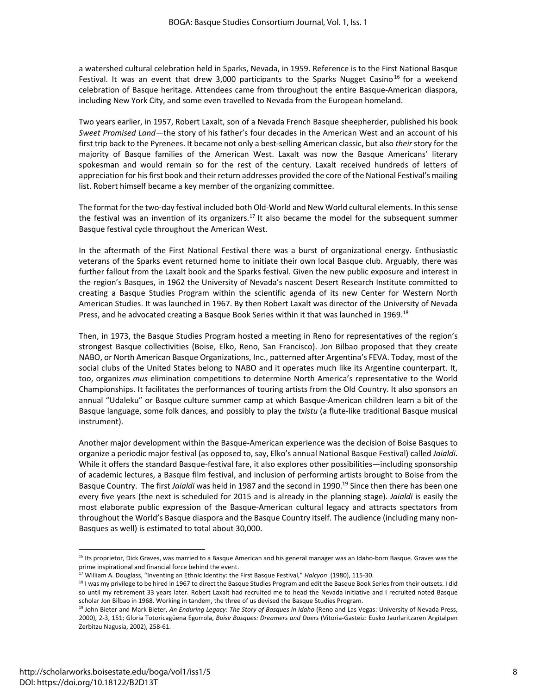a watershed cultural celebration held in Sparks, Nevada, in 1959. Reference is to the First National Basque Festival. It was an event that drew 3,000 participants to the Sparks Nugget Casino<sup>16</sup> for a weekend celebration of Basque heritage. Attendees came from throughout the entire Basque‐American diaspora, including New York City, and some even travelled to Nevada from the European homeland.

Two years earlier, in 1957, Robert Laxalt, son of a Nevada French Basque sheepherder, published his book *Sweet Promised Land*—the story of his father's four decades in the American West and an account of his first trip back to the Pyrenees. It became not only a best‐selling American classic, but also *their* story for the majority of Basque families of the American West. Laxalt was now the Basque Americans' literary spokesman and would remain so for the rest of the century. Laxalt received hundreds of letters of appreciation for hisfirst book and their return addresses provided the core of the National Festival's mailing list. Robert himself became a key member of the organizing committee.

The format for the two-day festival included both Old-World and New World cultural elements. In this sense the festival was an invention of its organizers.<sup>17</sup> It also became the model for the subsequent summer Basque festival cycle throughout the American West.

In the aftermath of the First National Festival there was a burst of organizational energy. Enthusiastic veterans of the Sparks event returned home to initiate their own local Basque club. Arguably, there was further fallout from the Laxalt book and the Sparks festival. Given the new public exposure and interest in the region's Basques, in 1962 the University of Nevada's nascent Desert Research Institute committed to creating a Basque Studies Program within the scientific agenda of its new Center for Western North American Studies. It was launched in 1967. By then Robert Laxalt was director of the University of Nevada Press, and he advocated creating a Basque Book Series within it that was launched in 1969.<sup>18</sup>

Then, in 1973, the Basque Studies Program hosted a meeting in Reno for representatives of the region's strongest Basque collectivities (Boise, Elko, Reno, San Francisco). Jon Bilbao proposed that they create NABO, or North American Basque Organizations, Inc., patterned after Argentina's FEVA. Today, most of the social clubs of the United States belong to NABO and it operates much like its Argentine counterpart. It, too, organizes *mus* elimination competitions to determine North America's representative to the World Championships. It facilitates the performances of touring artists from the Old Country. It also sponsors an annual "Udaleku" or Basque culture summer camp at which Basque‐American children learn a bit of the Basque language, some folk dances, and possibly to play the *txistu* (a flute‐like traditional Basque musical instrument).

Another major development within the Basque‐American experience was the decision of Boise Basques to organize a periodic major festival (as opposed to, say, Elko's annual National Basque Festival) called *Jaialdi*. While it offers the standard Basque‐festival fare, it also explores other possibilities—including sponsorship of academic lectures, a Basque film festival, and inclusion of performing artists brought to Boise from the Basque Country. The first *Jaialdi* was held in 1987 and the second in 1990.19 Since then there has been one every five years (the next is scheduled for 2015 and is already in the planning stage). *Jaialdi* is easily the most elaborate public expression of the Basque‐American cultural legacy and attracts spectators from throughout the World's Basque diaspora and the Basque Country itself. The audience (including many non‐ Basques as well) is estimated to total about 30,000.

<sup>16</sup> Its proprietor, Dick Graves, was married to a Basque American and his general manager was an Idaho-born Basque. Graves was the prime inspirational and financial force behind the event.

<sup>17</sup> William A. Douglass, "Inventing an Ethnic Identity: the First Basque Festival," *Halcyon* (1980), 115‐30.

<sup>&</sup>lt;sup>18</sup> I was my privilege to be hired in 1967 to direct the Basque Studies Program and edit the Basque Book Series from their outsets. I did so until my retirement 33 years later. Robert Laxalt had recruited me to head the Nevada initiative and I recruited noted Basque scholar Jon Bilbao in 1968. Working in tandem, the three of us devised the Basque Studies Program.

<sup>19</sup> John Bieter and Mark Bieter, *An Enduring Legacy: The Story of Basques in Idaho* (Reno and Las Vegas: University of Nevada Press, 2000), 2‐3, 151; Gloria Totoricagüena Egurrola, *Boise Basques: Dreamers and Doers* (Vitoria‐Gasteiz: Eusko Jaurlaritzaren Argitalpen Zerbitzu Nagusia, 2002), 258‐61.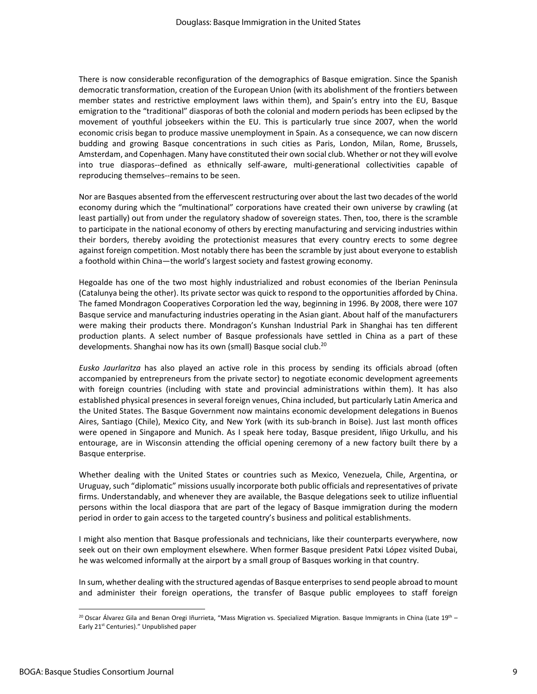There is now considerable reconfiguration of the demographics of Basque emigration. Since the Spanish democratic transformation, creation of the European Union (with its abolishment of the frontiers between member states and restrictive employment laws within them), and Spain's entry into the EU, Basque emigration to the "traditional" diasporas of both the colonial and modern periods has been eclipsed by the movement of youthful jobseekers within the EU. This is particularly true since 2007, when the world economic crisis began to produce massive unemployment in Spain. As a consequence, we can now discern budding and growing Basque concentrations in such cities as Paris, London, Milan, Rome, Brussels, Amsterdam, and Copenhagen. Many have constituted their own social club. Whether or not they will evolve into true diasporas‐‐defined as ethnically self‐aware, multi‐generational collectivities capable of reproducing themselves--remains to be seen.

Nor are Basques absented from the effervescent restructuring over about the last two decades of the world economy during which the "multinational" corporations have created their own universe by crawling (at least partially) out from under the regulatory shadow of sovereign states. Then, too, there is the scramble to participate in the national economy of others by erecting manufacturing and servicing industries within their borders, thereby avoiding the protectionist measures that every country erects to some degree against foreign competition. Most notably there has been the scramble by just about everyone to establish a foothold within China—the world's largest society and fastest growing economy.

Hegoalde has one of the two most highly industrialized and robust economies of the Iberian Peninsula (Catalunya being the other). Its private sector was quick to respond to the opportunities afforded by China. The famed Mondragon Cooperatives Corporation led the way, beginning in 1996. By 2008, there were 107 Basque service and manufacturing industries operating in the Asian giant. About half of the manufacturers were making their products there. Mondragon's Kunshan Industrial Park in Shanghai has ten different production plants. A select number of Basque professionals have settled in China as a part of these developments. Shanghai now has its own (small) Basque social club.<sup>20</sup>

*Eusko Jaurlaritza* has also played an active role in this process by sending its officials abroad (often accompanied by entrepreneurs from the private sector) to negotiate economic development agreements with foreign countries (including with state and provincial administrations within them). It has also established physical presences in several foreign venues, China included, but particularly Latin America and the United States. The Basque Government now maintains economic development delegations in Buenos Aires, Santiago (Chile), Mexico City, and New York (with its sub‐branch in Boise). Just last month offices were opened in Singapore and Munich. As I speak here today, Basque president, Iñigo Urkullu, and his entourage, are in Wisconsin attending the official opening ceremony of a new factory built there by a Basque enterprise.

Whether dealing with the United States or countries such as Mexico, Venezuela, Chile, Argentina, or Uruguay, such "diplomatic" missions usually incorporate both public officials and representatives of private firms. Understandably, and whenever they are available, the Basque delegations seek to utilize influential persons within the local diaspora that are part of the legacy of Basque immigration during the modern period in order to gain access to the targeted country's business and political establishments.

I might also mention that Basque professionals and technicians, like their counterparts everywhere, now seek out on their own employment elsewhere. When former Basque president Patxi López visited Dubai, he was welcomed informally at the airport by a small group of Basques working in that country.

In sum, whether dealing with the structured agendas of Basque enterprises to send people abroad to mount and administer their foreign operations, the transfer of Basque public employees to staff foreign

<sup>&</sup>lt;sup>20</sup> Oscar Álvarez Gila and Benan Oregi Iñurrieta, "Mass Migration vs. Specialized Migration. Basque Immigrants in China (Late 19<sup>th</sup> – Early 21<sup>st</sup> Centuries)." Unpublished paper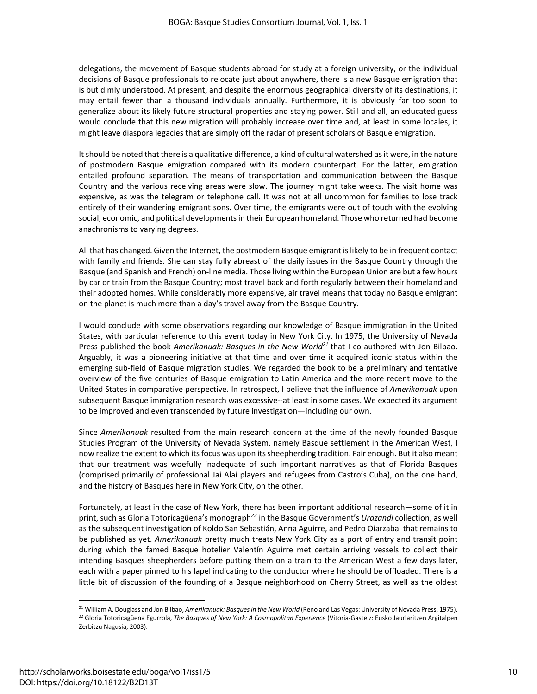delegations, the movement of Basque students abroad for study at a foreign university, or the individual decisions of Basque professionals to relocate just about anywhere, there is a new Basque emigration that is but dimly understood. At present, and despite the enormous geographical diversity of its destinations, it may entail fewer than a thousand individuals annually. Furthermore, it is obviously far too soon to generalize about its likely future structural properties and staying power. Still and all, an educated guess would conclude that this new migration will probably increase over time and, at least in some locales, it might leave diaspora legacies that are simply off the radar of present scholars of Basque emigration.

It should be noted that there is a qualitative difference, a kind of cultural watershed as it were, in the nature of postmodern Basque emigration compared with its modern counterpart. For the latter, emigration entailed profound separation. The means of transportation and communication between the Basque Country and the various receiving areas were slow. The journey might take weeks. The visit home was expensive, as was the telegram or telephone call. It was not at all uncommon for families to lose track entirely of their wandering emigrant sons. Over time, the emigrants were out of touch with the evolving social, economic, and political developments in their European homeland. Those who returned had become anachronisms to varying degrees.

All that has changed. Given the Internet, the postmodern Basque emigrant islikely to be in frequent contact with family and friends. She can stay fully abreast of the daily issues in the Basque Country through the Basque (and Spanish and French) on‐line media. Those living within the European Union are but a few hours by car or train from the Basque Country; most travel back and forth regularly between their homeland and their adopted homes. While considerably more expensive, air travel means that today no Basque emigrant on the planet is much more than a day's travel away from the Basque Country.

I would conclude with some observations regarding our knowledge of Basque immigration in the United States, with particular reference to this event today in New York City. In 1975, the University of Nevada Press published the book *Amerikanuak: Basques in the New World21* that I co‐authored with Jon Bilbao. Arguably, it was a pioneering initiative at that time and over time it acquired iconic status within the emerging sub‐field of Basque migration studies. We regarded the book to be a preliminary and tentative overview of the five centuries of Basque emigration to Latin America and the more recent move to the United States in comparative perspective. In retrospect, I believe that the influence of *Amerikanuak* upon subsequent Basque immigration research was excessive--at least in some cases. We expected its argument to be improved and even transcended by future investigation—including our own.

Since *Amerikanuak* resulted from the main research concern at the time of the newly founded Basque Studies Program of the University of Nevada System, namely Basque settlement in the American West, I now realize the extent to which its focus was upon its sheepherding tradition. Fair enough. But it also meant that our treatment was woefully inadequate of such important narratives as that of Florida Basques (comprised primarily of professional Jai Alai players and refugees from Castro's Cuba), on the one hand, and the history of Basques here in New York City, on the other.

Fortunately, at least in the case of New York, there has been important additional research—some of it in print, such as Gloria Totoricagüena's monograph*<sup>22</sup>* in the Basque Government's *Urazandi* collection, as well as the subsequent investigation of Koldo San Sebastián, Anna Aguirre, and Pedro Oiarzabal that remains to be published as yet. *Amerikanuak* pretty much treats New York City as a port of entry and transit point during which the famed Basque hotelier Valentín Aguirre met certain arriving vessels to collect their intending Basques sheepherders before putting them on a train to the American West a few days later, each with a paper pinned to his lapel indicating to the conductor where he should be offloaded. There is a little bit of discussion of the founding of a Basque neighborhood on Cherry Street, as well as the oldest

<sup>21</sup> William A. Douglass and Jon Bilbao, *Amerikanuak: Basquesin the New World* (Reno and Las Vegas: University of Nevada Press, 1975). <sup>22</sup> Gloria Totoricagüena Egurrola, *The Basques of New York: A Cosmopolitan Experience* (Vitoria‐Gasteiz: Eusko Jaurlaritzen Argitalpen Zerbitzu Nagusia, 2003).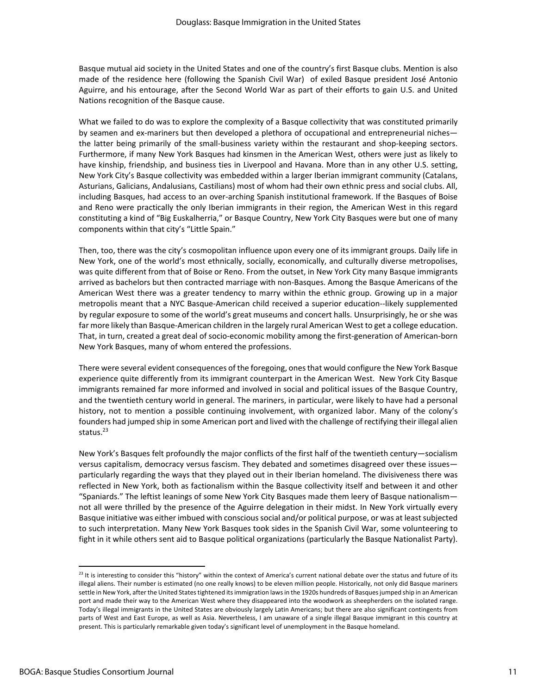Basque mutual aid society in the United States and one of the country's first Basque clubs. Mention is also made of the residence here (following the Spanish Civil War) of exiled Basque president José Antonio Aguirre, and his entourage, after the Second World War as part of their efforts to gain U.S. and United Nations recognition of the Basque cause.

What we failed to do was to explore the complexity of a Basque collectivity that was constituted primarily by seamen and ex-mariners but then developed a plethora of occupational and entrepreneurial niches the latter being primarily of the small‐business variety within the restaurant and shop‐keeping sectors. Furthermore, if many New York Basques had kinsmen in the American West, others were just as likely to have kinship, friendship, and business ties in Liverpool and Havana. More than in any other U.S. setting, New York City's Basque collectivity was embedded within a larger Iberian immigrant community (Catalans, Asturians, Galicians, Andalusians, Castilians) most of whom had their own ethnic press and social clubs. All, including Basques, had access to an over‐arching Spanish institutional framework. If the Basques of Boise and Reno were practically the only Iberian immigrants in their region, the American West in this regard constituting a kind of "Big Euskalherria," or Basque Country, New York City Basques were but one of many components within that city's "Little Spain."

Then, too, there was the city's cosmopolitan influence upon every one of its immigrant groups. Daily life in New York, one of the world's most ethnically, socially, economically, and culturally diverse metropolises, was quite different from that of Boise or Reno. From the outset, in New York City many Basque immigrants arrived as bachelors but then contracted marriage with non‐Basques. Among the Basque Americans of the American West there was a greater tendency to marry within the ethnic group. Growing up in a major metropolis meant that a NYC Basque‐American child received a superior education‐‐likely supplemented by regular exposure to some of the world's great museums and concert halls. Unsurprisingly, he or she was far more likely than Basque‐American children in the largely rural American West to get a college education. That, in turn, created a great deal of socio‐economic mobility among the first‐generation of American‐born New York Basques, many of whom entered the professions.

There were several evident consequences of the foregoing, onesthat would configure the New York Basque experience quite differently from its immigrant counterpart in the American West. New York City Basque immigrants remained far more informed and involved in social and political issues of the Basque Country, and the twentieth century world in general. The mariners, in particular, were likely to have had a personal history, not to mention a possible continuing involvement, with organized labor. Many of the colony's founders had jumped ship in some American port and lived with the challenge of rectifying their illegal alien status.<sup>23</sup>

New York's Basques felt profoundly the major conflicts of the first half of the twentieth century—socialism versus capitalism, democracy versus fascism. They debated and sometimes disagreed over these issues particularly regarding the ways that they played out in their Iberian homeland. The divisiveness there was reflected in New York, both as factionalism within the Basque collectivity itself and between it and other "Spaniards." The leftist leanings of some New York City Basques made them leery of Basque nationalism not all were thrilled by the presence of the Aguirre delegation in their midst. In New York virtually every Basque initiative was either imbued with conscious social and/or political purpose, or was at least subjected to such interpretation. Many New York Basques took sides in the Spanish Civil War, some volunteering to fight in it while others sent aid to Basque political organizations (particularly the Basque Nationalist Party).

 $^{23}$  It is interesting to consider this "history" within the context of America's current national debate over the status and future of its illegal aliens. Their number is estimated (no one really knows) to be eleven million people. Historically, not only did Basque mariners settle in New York, after the United States tightened its immigration laws in the 1920s hundreds of Basques jumped ship in an American port and made their way to the American West where they disappeared into the woodwork as sheepherders on the isolated range. Today's illegal immigrants in the United States are obviously largely Latin Americans; but there are also significant contingents from parts of West and East Europe, as well as Asia. Nevertheless, I am unaware of a single illegal Basque immigrant in this country at present. This is particularly remarkable given today's significant level of unemployment in the Basque homeland.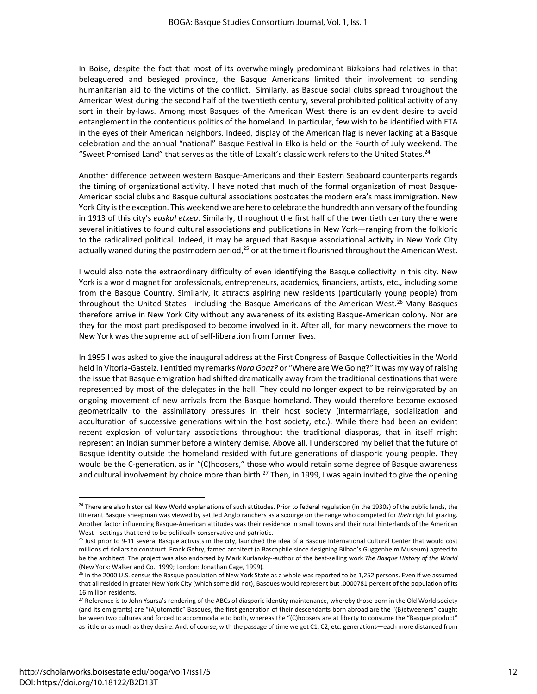In Boise, despite the fact that most of its overwhelmingly predominant Bizkaians had relatives in that beleaguered and besieged province, the Basque Americans limited their involvement to sending humanitarian aid to the victims of the conflict. Similarly, as Basque social clubs spread throughout the American West during the second half of the twentieth century, several prohibited political activity of any sort in their by-laws. Among most Basques of the American West there is an evident desire to avoid entanglement in the contentious politics of the homeland. In particular, few wish to be identified with ETA in the eyes of their American neighbors. Indeed, display of the American flag is never lacking at a Basque celebration and the annual "national" Basque Festival in Elko is held on the Fourth of July weekend. The "Sweet Promised Land" that serves as the title of Laxalt's classic work refers to the United States.<sup>24</sup>

Another difference between western Basque‐Americans and their Eastern Seaboard counterparts regards the timing of organizational activity. I have noted that much of the formal organization of most Basque‐ American social clubs and Basque cultural associations postdates the modern era's mass immigration. New York City is the exception. This weekend we are here to celebrate the hundredth anniversary of the founding in 1913 of this city's *euskal etxea*. Similarly, throughout the first half of the twentieth century there were several initiatives to found cultural associations and publications in New York—ranging from the folkloric to the radicalized political. Indeed, it may be argued that Basque associational activity in New York City actually waned during the postmodern period,<sup>25</sup> or at the time it flourished throughout the American West.

I would also note the extraordinary difficulty of even identifying the Basque collectivity in this city. New York is a world magnet for professionals, entrepreneurs, academics, financiers, artists, etc., including some from the Basque Country. Similarly, it attracts aspiring new residents (particularly young people) from throughout the United States—including the Basque Americans of the American West.<sup>26</sup> Many Basques therefore arrive in New York City without any awareness of its existing Basque‐American colony. Nor are they for the most part predisposed to become involved in it. After all, for many newcomers the move to New York was the supreme act of self‐liberation from former lives.

In 1995 I was asked to give the inaugural address at the First Congress of Basque Collectivities in the World held in Vitoria‐Gasteiz. I entitled my remarks *Nora Goaz?* or "Where are We Going?" It was my way ofraising the issue that Basque emigration had shifted dramatically away from the traditional destinations that were represented by most of the delegates in the hall. They could no longer expect to be reinvigorated by an ongoing movement of new arrivals from the Basque homeland. They would therefore become exposed geometrically to the assimilatory pressures in their host society (intermarriage, socialization and acculturation of successive generations within the host society, etc.). While there had been an evident recent explosion of voluntary associations throughout the traditional diasporas, that in itself might represent an Indian summer before a wintery demise. Above all, I underscored my belief that the future of Basque identity outside the homeland resided with future generations of diasporic young people. They would be the C-generation, as in "(C)hoosers," those who would retain some degree of Basque awareness and cultural involvement by choice more than birth.<sup>27</sup> Then, in 1999, I was again invited to give the opening

<sup>&</sup>lt;sup>24</sup> There are also historical New World explanations of such attitudes. Prior to federal regulation (in the 1930s) of the public lands, the itinerant Basque sheepman was viewed by settled Anglo ranchers as a scourge on the range who competed for *their* rightful grazing. Another factor influencing Basque‐American attitudes was their residence in small towns and their rural hinterlands of the American West—settings that tend to be politically conservative and patriotic.

<sup>&</sup>lt;sup>25</sup> Just prior to 9-11 several Basque activists in the city, launched the idea of a Basque International Cultural Center that would cost millions of dollars to construct. Frank Gehry, famed architect (a Bascophile since designing Bilbao's Guggenheim Museum) agreed to be the architect. The project was also endorsed by Mark Kurlansky‐‐author of the best‐selling work *The Basque History of the World* (New York: Walker and Co., 1999; London: Jonathan Cage, 1999).

<sup>&</sup>lt;sup>26</sup> In the 2000 U.S. census the Basque population of New York State as a whole was reported to be 1,252 persons. Even if we assumed that all resided in greater New York City (which some did not), Basques would represent but .0000781 percent of the population of its 16 million residents.

<sup>&</sup>lt;sup>27</sup> Reference is to John Ysursa's rendering of the ABCs of diasporic identity maintenance, whereby those born in the Old World society (and its emigrants) are "(A)utomatic" Basques, the first generation of their descendants born abroad are the "(B)etweeners" caught between two cultures and forced to accommodate to both, whereas the "(C)hoosers are at liberty to consume the "Basque product" as little or as much asthey desire. And, of course, with the passage of time we get C1, C2, etc. generations—each more distanced from